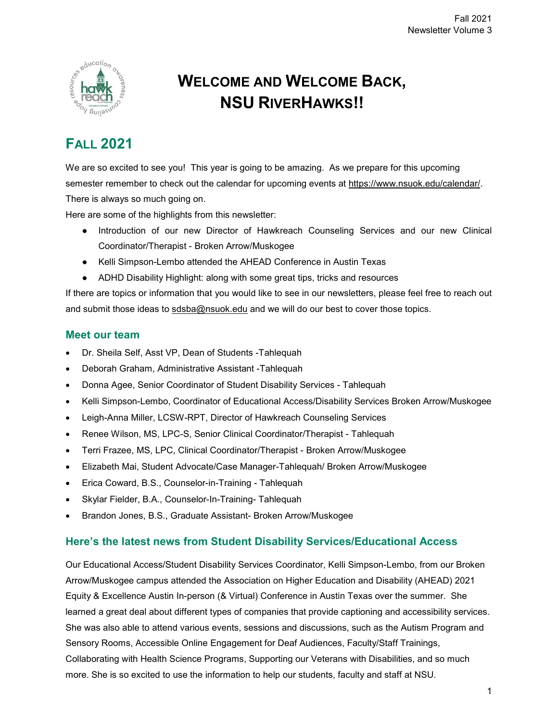

# **WELCOME AND WELCOME BACK, NSU RIVERHAWKS!!**

# **FALL 2021**

We are so excited to see you! This year is going to be amazing. As we prepare for this upcoming semester remember to check out the calendar for upcoming events at [https://www.nsuok.edu/calendar/.](https://www.nsuok.edu/calendar/) There is always so much going on.

Here are some of the highlights from this newsletter:

- Introduction of our new Director of Hawkreach Counseling Services and our new Clinical Coordinator/Therapist - Broken Arrow/Muskogee
- Kelli Simpson-Lembo attended the AHEAD Conference in Austin Texas
- ADHD Disability Highlight: along with some great tips, tricks and resources

If there are topics or information that you would like to see in our newsletters, please feel free to reach out and submit those ideas to [sdsba@nsuok.edu](mailto:sdsba@nsuok.edu) and we will do our best to cover those topics.

## **Meet our team**

- Dr. Sheila Self, Asst VP, Dean of Students -Tahlequah
- Deborah Graham, Administrative Assistant -Tahlequah
- Donna Agee, Senior Coordinator of Student Disability Services Tahlequah
- Kelli Simpson-Lembo, Coordinator of Educational Access/Disability Services Broken Arrow/Muskogee
- Leigh-Anna Miller, LCSW-RPT, Director of Hawkreach Counseling Services
- Renee Wilson, MS, LPC-S, Senior Clinical Coordinator/Therapist Tahlequah
- Terri Frazee, MS, LPC, Clinical Coordinator/Therapist Broken Arrow/Muskogee
- Elizabeth Mai, Student Advocate/Case Manager-Tahlequah/ Broken Arrow/Muskogee
- Erica Coward, B.S., Counselor-in-Training Tahlequah
- Skylar Fielder, B.A., Counselor-In-Training- Tahlequah
- Brandon Jones, B.S., Graduate Assistant- Broken Arrow/Muskogee

# **Here's the latest news from Student Disability Services/Educational Access**

Our Educational Access/Student Disability Services Coordinator, Kelli Simpson-Lembo, from our Broken Arrow/Muskogee campus attended the Association on Higher Education and Disability (AHEAD) 2021 Equity & Excellence Austin In-person (& Virtual) Conference in Austin Texas over the summer. She learned a great deal about different types of companies that provide captioning and accessibility services. She was also able to attend various events, sessions and discussions, such as the Autism Program and Sensory Rooms, Accessible Online Engagement for Deaf Audiences, Faculty/Staff Trainings, Collaborating with Health Science Programs, Supporting our Veterans with Disabilities, and so much more. She is so excited to use the information to help our students, faculty and staff at NSU.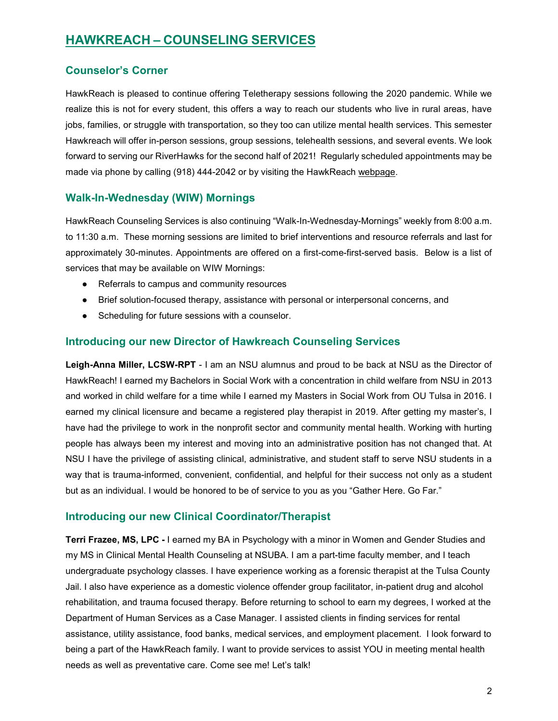# **HAWKREACH – [COUNSELING](https://offices.nsuok.edu/studentaffairs/StudentServices/HawkReachCounselingServices/default.aspx) SERVICES**

# **Counselor's Corner**

HawkReach is pleased to continue offering Teletherapy sessions following the 2020 pandemic. While we realize this is not for every student, this offers a way to reach our students who live in rural areas, have jobs, families, or struggle with transportation, so they too can utilize mental health services. This semester Hawkreach will offer in-person sessions, group sessions, telehealth sessions, and several events. We look forward to serving our RiverHawks for the second half of 2021! Regularly scheduled appointments may be made via phone by calling (918) 444-2042 or by visiting the HawkReach [webpage.](https://offices.nsuok.edu/studentaffairs/StudentServices/HawkReachCounselingServices/schedule_appointment_hawkreach.aspx)

### **Walk-In-Wednesday (WIW) Mornings**

HawkReach Counseling Services is also continuing "Walk-In-Wednesday-Mornings" weekly from 8:00 a.m. to 11:30 a.m. These morning sessions are limited to brief interventions and resource referrals and last for approximately 30-minutes. Appointments are offered on a first-come-first-served basis. Below is a list of services that may be available on WIW Mornings:

- Referrals to campus and community resources
- Brief solution-focused therapy, assistance with personal or interpersonal concerns, and
- Scheduling for future sessions with a counselor.

### **Introducing our new Director of Hawkreach Counseling Services**

**Leigh-Anna Miller, LCSW-RPT** - I am an NSU alumnus and proud to be back at NSU as the Director of HawkReach! I earned my Bachelors in Social Work with a concentration in child welfare from NSU in 2013 and worked in child welfare for a time while I earned my Masters in Social Work from OU Tulsa in 2016. I earned my clinical licensure and became a registered play therapist in 2019. After getting my master's, I have had the privilege to work in the nonprofit sector and community mental health. Working with hurting people has always been my interest and moving into an administrative position has not changed that. At NSU I have the privilege of assisting clinical, administrative, and student staff to serve NSU students in a way that is trauma-informed, convenient, confidential, and helpful for their success not only as a student but as an individual. I would be honored to be of service to you as you "Gather Here. Go Far."

### **Introducing our new Clinical Coordinator/Therapist**

**Terri Frazee, MS, LPC -** I earned my BA in Psychology with a minor in Women and Gender Studies and my MS in Clinical Mental Health Counseling at NSUBA. I am a part-time faculty member, and I teach undergraduate psychology classes. I have experience working as a forensic therapist at the Tulsa County Jail. I also have experience as a domestic violence offender group facilitator, in-patient drug and alcohol rehabilitation, and trauma focused therapy. Before returning to school to earn my degrees, I worked at the Department of Human Services as a Case Manager. I assisted clients in finding services for rental assistance, utility assistance, food banks, medical services, and employment placement. I look forward to being a part of the HawkReach family. I want to provide services to assist YOU in meeting mental health needs as well as preventative care. Come see me! Let's talk!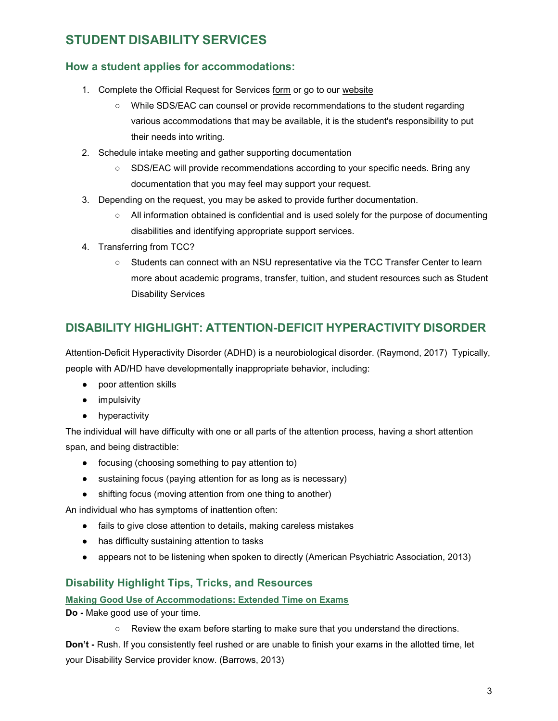# **STUDENT [DISABILITY](https://offices.nsuok.edu/studentaffairs/StudentServices/StudentDisabilityServices.aspx) SERVICES**

# **How a student applies for accommodations:**

- 1. Complete the Official Request for Services [form](file://nsu-storage/groups/StudentAffairs/SDS/_SDS%20Templates-Forms/Appendix_A_Official_Request_Services.pdf) or go to our [website](https://cm.maxient.com/reportingform.php?NortheasternStateUnivOK&layout_id=26)
	- While SDS/EAC can counsel or provide recommendations to the student regarding various accommodations that may be available, it is the student's responsibility to put their needs into writing.
- 2. Schedule intake meeting and gather supporting documentation
	- SDS/EAC will provide recommendations according to your specific needs. Bring any documentation that you may feel may support your request.
- 3. Depending on the request, you may be asked to provide further documentation.
	- All information obtained is confidential and is used solely for the purpose of documenting disabilities and identifying appropriate support services.
- 4. Transferring from TCC?
	- Students can connect with an NSU representative via the TCC Transfer Center to learn more about academic programs, transfer, tuition, and student resources such as Student Disability Services

# **DISABILITY HIGHLIGHT: ATTENTION-DEFICIT HYPERACTIVITY DISORDER**

Attention-Deficit Hyperactivity Disorder (ADHD) is a neurobiological disorder. (Raymond, 2017) Typically, people with AD/HD have developmentally inappropriate behavior, including:

- poor attention skills
- impulsivity
- hyperactivity

The individual will have difficulty with one or all parts of the attention process, having a short attention span, and being distractible:

- focusing (choosing something to pay attention to)
- sustaining focus (paying attention for as long as is necessary)
- shifting focus (moving attention from one thing to another)

An individual who has symptoms of inattention often:

- fails to give close attention to details, making careless mistakes
- has difficulty sustaining attention to tasks
- appears not to be listening when spoken to directly (American Psychiatric Association, 2013)

# **Disability Highlight Tips, Tricks, and Resources**

**[Making Good Use of Accommodations: Extended Time on Exams](https://drive.google.com/file/d/1p3zb5c87WIuGVd_DxLZ2deFlhr1XrtjI/view?usp=sharing)**

**Do -** Make good use of your time.

○ Review the exam before starting to make sure that you understand the directions.

**Don't -** Rush. If you consistently feel rushed or are unable to finish your exams in the allotted time, let your Disability Service provider know. (Barrows, 2013)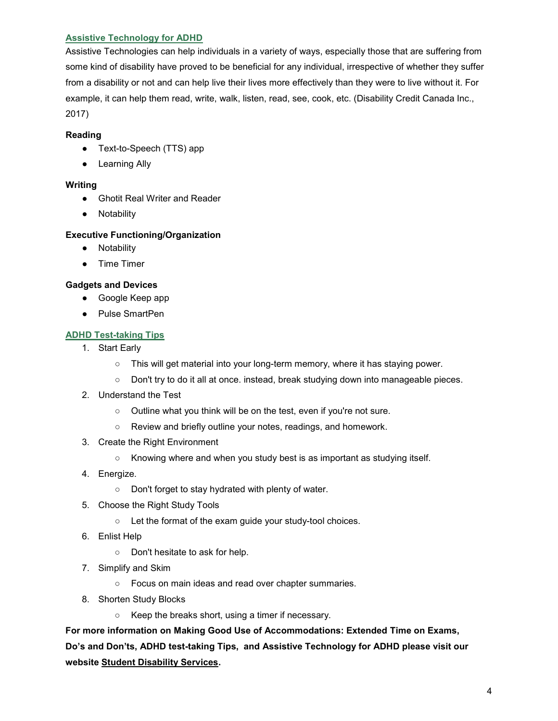### **[Assistive Technology for ADHD](https://disabilitycreditcanada.com/10-best-assistive-technologies-add-adhd/)**

Assistive Technologies can help individuals in a variety of ways, especially those that are suffering from some kind of disability have proved to be beneficial for any individual, irrespective of whether they suffer from a disability or not and can help live their lives more effectively than they were to live without it. For example, it can help them read, write, walk, listen, read, see, cook, etc. (Disability Credit Canada Inc., 2017)

#### **Reading**

- Text-to-Speech (TTS) app
- Learning Ally

#### **Writing**

- Ghotit Real Writer and Reader
- Notability

#### **Executive Functioning/Organization**

- Notability
- Time Timer

#### **Gadgets and Devices**

- Google Keep app
- Pulse SmartPen

### **[ADHD Test-taking Tips](https://drive.google.com/file/d/1oeQqUaQK4Me4zBybMbSd0QtnvuiRDpq3/view?usp=sharing)**

- 1. Start Early
	- This will get material into your long-term memory, where it has staying power.
	- Don't try to do it all at once. instead, break studying down into manageable pieces.
- 2. Understand the Test
	- Outline what you think will be on the test, even if you're not sure.
	- Review and briefly outline your notes, readings, and homework.
- 3. Create the Right Environment
	- Knowing where and when you study best is as important as studying itself.
- 4. Energize.
	- Don't forget to stay hydrated with plenty of water.
- 5. Choose the Right Study Tools
	- Let the format of the exam guide your study-tool choices.
- 6. Enlist Help
	- Don't hesitate to ask for help.
- 7. Simplify and Skim
	- Focus on main ideas and read over chapter summaries.
- 8. Shorten Study Blocks
	- Keep the breaks short, using a timer if necessary.

**For more information on Making Good Use of Accommodations: Extended Time on Exams, Do's and Don'ts, ADHD test-taking Tips, and Assistive Technology for ADHD please visit our website [Student Disability Services.](https://offices.nsuok.edu/studentaffairs/StudentServices/StudentDisabilityServices.aspx)**